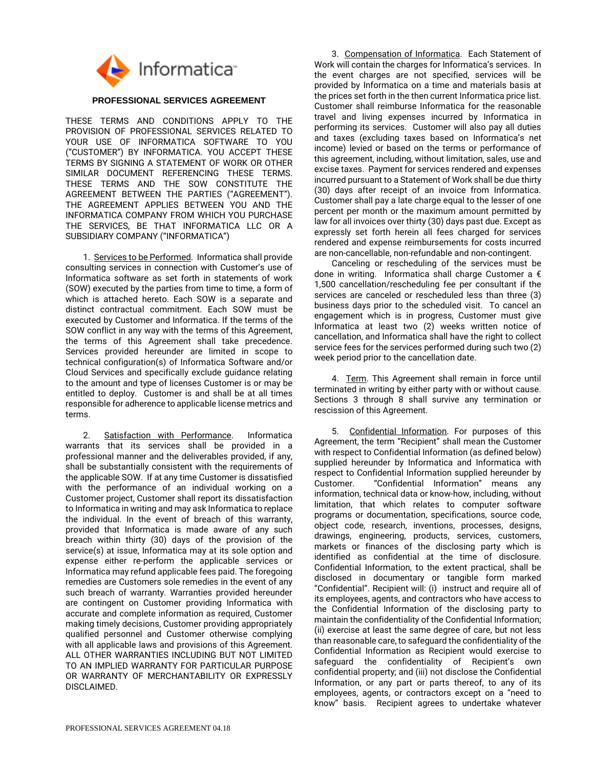

## **PROFESSIONAL SERVICES AGREEMENT**

THESE TERMS AND CONDITIONS APPLY TO THE PROVISION OF PROFESSIONAL SERVICES RELATED TO YOUR USE OF INFORMATICA SOFTWARE TO YOU ("CUSTOMER") BY INFORMATICA. YOU ACCEPT THESE TERMS BY SIGNING A STATEMENT OF WORK OR OTHER SIMILAR DOCUMENT REFERENCING THESE TERMS. THESE TERMS AND THE SOW CONSTITUTE THE AGREEMENT BETWEEN THE PARTIES ("AGREEMENT"). THE AGREEMENT APPLIES BETWEEN YOU AND THE INFORMATICA COMPANY FROM WHICH YOU PURCHASE THE SERVICES, BE THAT INFORMATICA LLC OR A SUBSIDIARY COMPANY ("INFORMATICA")

1. Services to be Performed. Informatica shall provide consulting services in connection with Customer's use of Informatica software as set forth in statements of work (SOW) executed by the parties from time to time, a form of which is attached hereto. Each SOW is a separate and distinct contractual commitment. Each SOW must be executed by Customer and Informatica. If the terms of the SOW conflict in any way with the terms of this Agreement, the terms of this Agreement shall take precedence. Services provided hereunder are limited in scope to technical configuration(s) of Informatica Software and/or Cloud Services and specifically exclude guidance relating to the amount and type of licenses Customer is or may be entitled to deploy. Customer is and shall be at all times responsible for adherence to applicable license metrics and terms.

2. Satisfaction with Performance. Informatica warrants that its services shall be provided in a professional manner and the deliverables provided, if any, shall be substantially consistent with the requirements of the applicable SOW. If at any time Customer is dissatisfied with the performance of an individual working on a Customer project, Customer shall report its dissatisfaction to Informatica in writing and may ask Informatica to replace the individual. In the event of breach of this warranty, provided that Informatica is made aware of any such breach within thirty (30) days of the provision of the service(s) at issue, Informatica may at its sole option and expense either re-perform the applicable services or Informatica may refund applicable fees paid. The foregoing remedies are Customers sole remedies in the event of any such breach of warranty. Warranties provided hereunder are contingent on Customer providing Informatica with accurate and complete information as required, Customer making timely decisions, Customer providing appropriately qualified personnel and Customer otherwise complying with all applicable laws and provisions of this Agreement. ALL OTHER WARRANTIES INCLUDING BUT NOT LIMITED TO AN IMPLIED WARRANTY FOR PARTICULAR PURPOSE OR WARRANTY OF MERCHANTABILITY OR EXPRESSLY DISCLAIMED.

3. Compensation of Informatica. Each Statement of Work will contain the charges for Informatica's services. In the event charges are not specified, services will be provided by Informatica on a time and materials basis at the prices set forth in the then current Informatica price list. Customer shall reimburse Informatica for the reasonable travel and living expenses incurred by Informatica in performing its services. Customer will also pay all duties and taxes (excluding taxes based on Informatica's net income) levied or based on the terms or performance of this agreement, including, without limitation, sales, use and excise taxes. Payment for services rendered and expenses incurred pursuant to a Statement of Work shall be due thirty (30) days after receipt of an invoice from Informatica. Customer shall pay a late charge equal to the lesser of one percent per month or the maximum amount permitted by law for all invoices over thirty (30) days past due. Except as expressly set forth herein all fees charged for services rendered and expense reimbursements for costs incurred are non-cancellable, non-refundable and non-contingent.

Canceling or rescheduling of the services must be done in writing. Informatica shall charge Customer a  $\epsilon$ 1,500 cancellation/rescheduling fee per consultant if the services are canceled or rescheduled less than three (3) business days prior to the scheduled visit. To cancel an engagement which is in progress, Customer must give Informatica at least two (2) weeks written notice of cancellation, and Informatica shall have the right to collect service fees for the services performed during such two (2) week period prior to the cancellation date.

4. Term. This Agreement shall remain in force until terminated in writing by either party with or without cause. Sections 3 through 8 shall survive any termination or rescission of this Agreement.

5. Confidential Information. For purposes of this Agreement, the term "Recipient" shall mean the Customer with respect to Confidential Information (as defined below) supplied hereunder by Informatica and Informatica with respect to Confidential Information supplied hereunder by Customer. "Confidential Information" means any information, technical data or know-how, including, without limitation, that which relates to computer software programs or documentation, specifications, source code, object code, research, inventions, processes, designs, drawings, engineering, products, services, customers, markets or finances of the disclosing party which is identified as confidential at the time of disclosure. Confidential Information, to the extent practical, shall be disclosed in documentary or tangible form marked "Confidential". Recipient will: (i) instruct and require all of its employees, agents, and contractors who have access to the Confidential Information of the disclosing party to maintain the confidentiality of the Confidential Information; (ii) exercise at least the same degree of care, but not less than reasonable care, to safeguard the confidentiality of the Confidential Information as Recipient would exercise to safeguard the confidentiality of Recipient's own confidential property; and (iii) not disclose the Confidential Information, or any part or parts thereof, to any of its employees, agents, or contractors except on a "need to know" basis. Recipient agrees to undertake whatever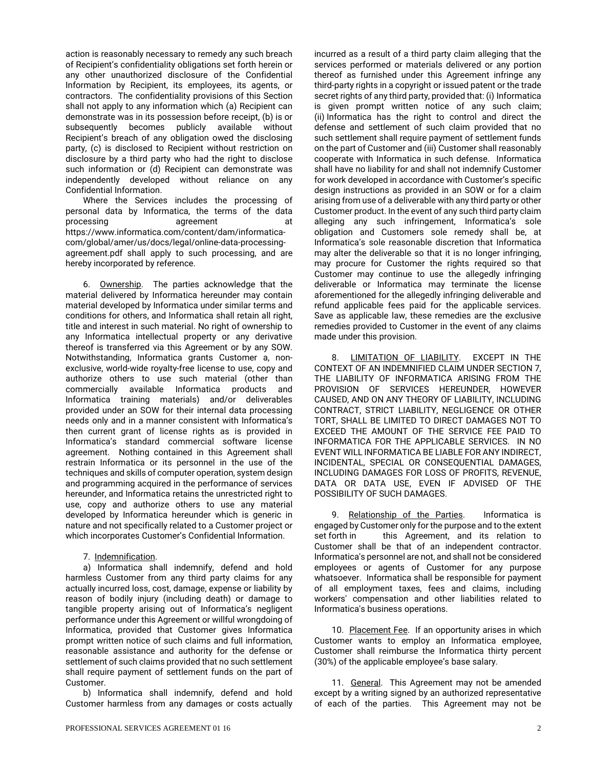action is reasonably necessary to remedy any such breach of Recipient's confidentiality obligations set forth herein or any other unauthorized disclosure of the Confidential Information by Recipient, its employees, its agents, or contractors. The confidentiality provisions of this Section shall not apply to any information which (a) Recipient can demonstrate was in its possession before receipt, (b) is or subsequently becomes publicly available without Recipient's breach of any obligation owed the disclosing party, (c) is disclosed to Recipient without restriction on disclosure by a third party who had the right to disclose such information or (d) Recipient can demonstrate was independently developed without reliance on any Confidential Information.

Where the Services includes the processing of personal data by Informatica, the terms of the data processing agreement at https://www.informatica.com/content/dam/informaticacom/global/amer/us/docs/legal/online-data-processingagreement.pdf shall apply to such processing, and are hereby incorporated by reference.

6. Ownership. The parties acknowledge that the material delivered by Informatica hereunder may contain material developed by Informatica under similar terms and conditions for others, and Informatica shall retain all right, title and interest in such material. No right of ownership to any Informatica intellectual property or any derivative thereof is transferred via this Agreement or by any SOW. Notwithstanding, Informatica grants Customer a, nonexclusive, world-wide royalty-free license to use, copy and authorize others to use such material (other than commercially available Informatica products and Informatica training materials) and/or deliverables provided under an SOW for their internal data processing needs only and in a manner consistent with Informatica's then current grant of license rights as is provided in Informatica's standard commercial software license agreement. Nothing contained in this Agreement shall restrain Informatica or its personnel in the use of the techniques and skills of computer operation, system design and programming acquired in the performance of services hereunder, and Informatica retains the unrestricted right to use, copy and authorize others to use any material developed by Informatica hereunder which is generic in nature and not specifically related to a Customer project or which incorporates Customer's Confidential Information.

7. Indemnification.

a) Informatica shall indemnify, defend and hold harmless Customer from any third party claims for any actually incurred loss, cost, damage, expense or liability by reason of bodily injury (including death) or damage to tangible property arising out of Informatica's negligent performance under this Agreement or willful wrongdoing of Informatica, provided that Customer gives Informatica prompt written notice of such claims and full information, reasonable assistance and authority for the defense or settlement of such claims provided that no such settlement shall require payment of settlement funds on the part of Customer.

b) Informatica shall indemnify, defend and hold Customer harmless from any damages or costs actually incurred as a result of a third party claim alleging that the services performed or materials delivered or any portion thereof as furnished under this Agreement infringe any third-party rights in a copyright or issued patent or the trade secret rights of any third party, provided that: (i) Informatica is given prompt written notice of any such claim; (ii) Informatica has the right to control and direct the defense and settlement of such claim provided that no such settlement shall require payment of settlement funds on the part of Customer and (iii) Customer shall reasonably cooperate with Informatica in such defense. Informatica shall have no liability for and shall not indemnify Customer for work developed in accordance with Customer's specific design instructions as provided in an SOW or for a claim arising from use of a deliverable with any third party or other Customer product. In the event of any such third party claim alleging any such infringement, Informatica's sole obligation and Customers sole remedy shall be, at Informatica's sole reasonable discretion that Informatica may alter the deliverable so that it is no longer infringing, may procure for Customer the rights required so that Customer may continue to use the allegedly infringing deliverable or Informatica may terminate the license aforementioned for the allegedly infringing deliverable and refund applicable fees paid for the applicable services. Save as applicable law, these remedies are the exclusive remedies provided to Customer in the event of any claims made under this provision.

8. LIMITATION OF LIABILITY. EXCEPT IN THE CONTEXT OF AN INDEMNIFIED CLAIM UNDER SECTION 7, THE LIABILITY OF INFORMATICA ARISING FROM THE PROVISION OF SERVICES HEREUNDER, HOWEVER CAUSED, AND ON ANY THEORY OF LIABILITY, INCLUDING CONTRACT, STRICT LIABILITY, NEGLIGENCE OR OTHER TORT, SHALL BE LIMITED TO DIRECT DAMAGES NOT TO EXCEED THE AMOUNT OF THE SERVICE FEE PAID TO INFORMATICA FOR THE APPLICABLE SERVICES. IN NO EVENT WILL INFORMATICA BE LIABLE FOR ANY INDIRECT, INCIDENTAL, SPECIAL OR CONSEQUENTIAL DAMAGES, INCLUDING DAMAGES FOR LOSS OF PROFITS, REVENUE, DATA OR DATA USE, EVEN IF ADVISED OF THE POSSIBILITY OF SUCH DAMAGES.

9. Relationship of the Parties. Informatica is engaged by Customer only for the purpose and to the extent set forth in this Agreement, and its relation to Customer shall be that of an independent contractor. Informatica's personnel are not, and shall not be considered employees or agents of Customer for any purpose whatsoever. Informatica shall be responsible for payment of all employment taxes, fees and claims, including workers' compensation and other liabilities related to Informatica's business operations.

10. Placement Fee. If an opportunity arises in which Customer wants to employ an Informatica employee, Customer shall reimburse the Informatica thirty percent (30%) of the applicable employee's base salary.

11. General. This Agreement may not be amended except by a writing signed by an authorized representative of each of the parties. This Agreement may not be